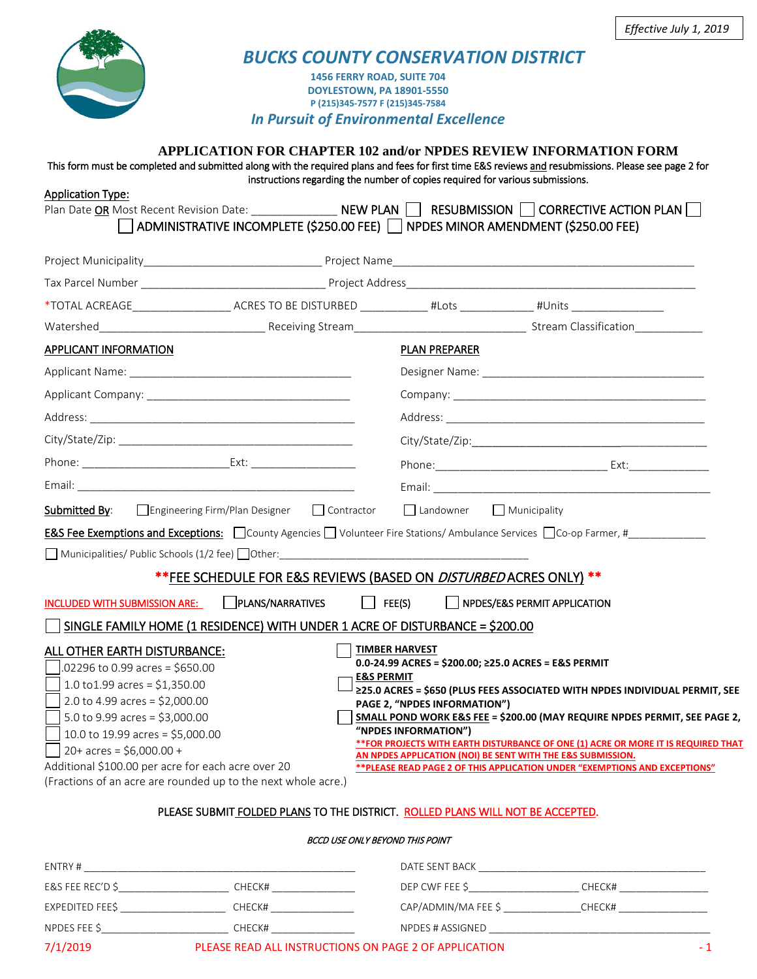

# *BUCKS COUNTY CONSERVATION DISTRICT*

**1456 FERRY ROAD, SUITE 704 DOYLESTOWN, PA 18901-5550 P (215)345-7577 F (215)345-7584**

*In Pursuit of Environmental Excellence*

## **APPLICATION FOR CHAPTER 102 and/or NPDES REVIEW INFORMATION FORM**

This form must be completed and submitted along with the required plans and fees for first time E&S reviews and resubmissions. Please see page 2 for instructions regarding the number of copies required for various submissions. Application Type:

| Application Type:<br>Plan Date OR Most Recent Revision Date: ________________ NEW PLAN   RESUBMISSION   CORRECTIVE ACTION PLAN<br>  ADMINISTRATIVE INCOMPLETE (\$250.00 FEE) │ NPDES MINOR AMENDMENT (\$250.00 FEE)                                                                                                                                                                                 |                                                                                                                                                                                                                                                                                                                                                                                                                                                                                                                                                 |
|-----------------------------------------------------------------------------------------------------------------------------------------------------------------------------------------------------------------------------------------------------------------------------------------------------------------------------------------------------------------------------------------------------|-------------------------------------------------------------------------------------------------------------------------------------------------------------------------------------------------------------------------------------------------------------------------------------------------------------------------------------------------------------------------------------------------------------------------------------------------------------------------------------------------------------------------------------------------|
| Project Municipality entertainment of Project Name Project Name and Contact Contact Authority of the Contact O                                                                                                                                                                                                                                                                                      |                                                                                                                                                                                                                                                                                                                                                                                                                                                                                                                                                 |
|                                                                                                                                                                                                                                                                                                                                                                                                     |                                                                                                                                                                                                                                                                                                                                                                                                                                                                                                                                                 |
| *TOTAL ACREAGE_________________________ACRES TO BE DISTURBED ______________#Lots _____________________________                                                                                                                                                                                                                                                                                      |                                                                                                                                                                                                                                                                                                                                                                                                                                                                                                                                                 |
|                                                                                                                                                                                                                                                                                                                                                                                                     |                                                                                                                                                                                                                                                                                                                                                                                                                                                                                                                                                 |
| APPLICANT INFORMATION                                                                                                                                                                                                                                                                                                                                                                               | <b>PLAN PREPARER</b>                                                                                                                                                                                                                                                                                                                                                                                                                                                                                                                            |
|                                                                                                                                                                                                                                                                                                                                                                                                     |                                                                                                                                                                                                                                                                                                                                                                                                                                                                                                                                                 |
|                                                                                                                                                                                                                                                                                                                                                                                                     |                                                                                                                                                                                                                                                                                                                                                                                                                                                                                                                                                 |
|                                                                                                                                                                                                                                                                                                                                                                                                     |                                                                                                                                                                                                                                                                                                                                                                                                                                                                                                                                                 |
|                                                                                                                                                                                                                                                                                                                                                                                                     |                                                                                                                                                                                                                                                                                                                                                                                                                                                                                                                                                 |
|                                                                                                                                                                                                                                                                                                                                                                                                     |                                                                                                                                                                                                                                                                                                                                                                                                                                                                                                                                                 |
|                                                                                                                                                                                                                                                                                                                                                                                                     |                                                                                                                                                                                                                                                                                                                                                                                                                                                                                                                                                 |
| □ Engineering Firm/Plan Designer □ Contractor<br>Submitted By:                                                                                                                                                                                                                                                                                                                                      | Landowner Municipality                                                                                                                                                                                                                                                                                                                                                                                                                                                                                                                          |
| <b>E&amp;S Fee Exemptions and Exceptions:</b> $\Box$ County Agencies $\Box$ Volunteer Fire Stations/ Ambulance Services $\Box$ Co-op Farmer, #                                                                                                                                                                                                                                                      |                                                                                                                                                                                                                                                                                                                                                                                                                                                                                                                                                 |
|                                                                                                                                                                                                                                                                                                                                                                                                     |                                                                                                                                                                                                                                                                                                                                                                                                                                                                                                                                                 |
| ** FEE SCHEDULE FOR E&S REVIEWS (BASED ON <i>DISTURBED</i> ACRES ONLY) **                                                                                                                                                                                                                                                                                                                           |                                                                                                                                                                                                                                                                                                                                                                                                                                                                                                                                                 |
| PLANS/NARRATIVES<br>$\vert$ FEE(S)<br>INCLUDED WITH SUBMISSION ARE:                                                                                                                                                                                                                                                                                                                                 | NPDES/E&S PERMIT APPLICATION                                                                                                                                                                                                                                                                                                                                                                                                                                                                                                                    |
| SINGLE FAMILY HOME (1 RESIDENCE) WITH UNDER 1 ACRE OF DISTURBANCE = \$200.00                                                                                                                                                                                                                                                                                                                        |                                                                                                                                                                                                                                                                                                                                                                                                                                                                                                                                                 |
| ALL OTHER EARTH DISTURBANCE:<br>$.02296$ to 0.99 acres = \$650.00<br><b>E&amp;S PERMIT</b><br>1.0 to 1.99 acres = $$1,350.00$<br>2.0 to 4.99 acres = $$2,000.00$<br>5.0 to 9.99 acres = $$3,000.00$<br>10.0 to 19.99 acres = \$5,000.00<br>$20+ \text{ acres} = $6,000.00 +$<br>Additional \$100.00 per acre for each acre over 20<br>(Fractions of an acre are rounded up to the next whole acre.) | <b>TIMBER HARVEST</b><br>$0.0 - 24.99$ ACRES = \$200.00: $\geq$ 25.0 ACRES = E&S PERMIT<br>≥25.0 ACRES = \$650 (PLUS FEES ASSOCIATED WITH NPDES INDIVIDUAL PERMIT, SEE<br>PAGE 2, "NPDES INFORMATION")<br>SMALL POND WORK E&S FEE = \$200.00 (MAY REQUIRE NPDES PERMIT, SEE PAGE 2,<br>"NPDES INFORMATION")<br>** FOR PROJECTS WITH EARTH DISTURBANCE OF ONE (1) ACRE OR MORE IT IS REQUIRED THAT<br>AN NPDES APPLICATION (NOI) BE SENT WITH THE E&S SUBMISSION.<br>** PLEASE READ PAGE 2 OF THIS APPLICATION UNDER "EXEMPTIONS AND EXCEPTIONS" |

## PLEASE SUBMIT FOLDED PLANS TO THE DISTRICT. ROLLED PLANS WILL NOT BE ACCEPTED.

### BCCD USE ONLY BEYOND THIS POINT

| ENTRY #          |                                                       | DATE SENT BACK      |        |
|------------------|-------------------------------------------------------|---------------------|--------|
| E&S FEE REC'D \$ | CHECK#                                                | DEP CWF FEE \$      | CHECK# |
| EXPEDITED FEE\$  | CHECK#                                                | CAP/ADMIN/MA FEE \$ | CHECK# |
| NPDES FEE \$     | CHECK#                                                | NPDES # ASSIGNED    |        |
| 7/1/2019         | PLEASE READ ALL INSTRUCTIONS ON PAGE 2 OF APPLICATION |                     |        |